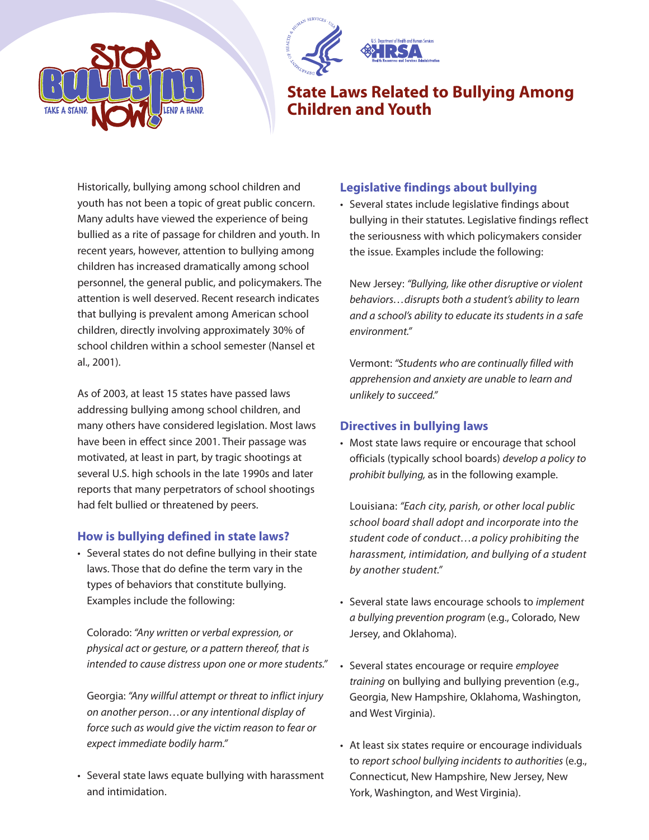



## **State Laws Related to Bullying Among Children and Youth**

Historically, bullying among school children and youth has not been a topic of great public concern. Many adults have viewed the experience of being bullied as a rite of passage for children and youth. In recent years, however, attention to bullying among children has increased dramatically among school personnel, the general public, and policymakers. The attention is well deserved. Recent research indicates that bullying is prevalent among American school children, directly involving approximately 30% of school children within a school semester (Nansel et al., 2001).

As of 2003, at least 15 states have passed laws addressing bullying among school children, and many others have considered legislation. Most laws have been in effect since 2001. Their passage was motivated, at least in part, by tragic shootings at several U.S. high schools in the late 1990s and later reports that many perpetrators of school shootings had felt bullied or threatened by peers.

#### **How is bullying defined in state laws?**

• Several states do not define bullying in their state laws. Those that do define the term vary in the types of behaviors that constitute bullying. Examples include the following:

Colorado: "Any written or verbal expression, or physical act or gesture, or a pattern thereof, that is intended to cause distress upon one or more students."

Georgia: "Any willful attempt or threat to inflict injury on another person…or any intentional display of force such as would give the victim reason to fear or expect immediate bodily harm."

• Several state laws equate bullying with harassment and intimidation.

## **Legislative findings about bullying**

• Several states include legislative findings about bullying in their statutes. Legislative findings reflect the seriousness with which policymakers consider the issue. Examples include the following:

New Jersey: "Bullying, like other disruptive or violent behaviors…disrupts both a student's ability to learn and a school's ability to educate its students in a safe environment."

Vermont: "Students who are continually filled with apprehension and anxiety are unable to learn and unlikely to succeed."

### **Directives in bullying laws**

• Most state laws require or encourage that school officials (typically school boards) develop a policy to prohibit bullying, as in the following example.

Louisiana: "Each city, parish, or other local public school board shall adopt and incorporate into the student code of conduct…a policy prohibiting the harassment, intimidation, and bullying of a student by another student."

- Several state laws encourage schools to implement a bullying prevention program (e.g., Colorado, New Jersey, and Oklahoma).
- Several states encourage or require employee training on bullying and bullying prevention (e.g., Georgia, New Hampshire, Oklahoma, Washington, and West Virginia).
- At least six states require or encourage individuals to report school bullying incidents to authorities (e.g., Connecticut, New Hampshire, New Jersey, New York, Washington, and West Virginia).